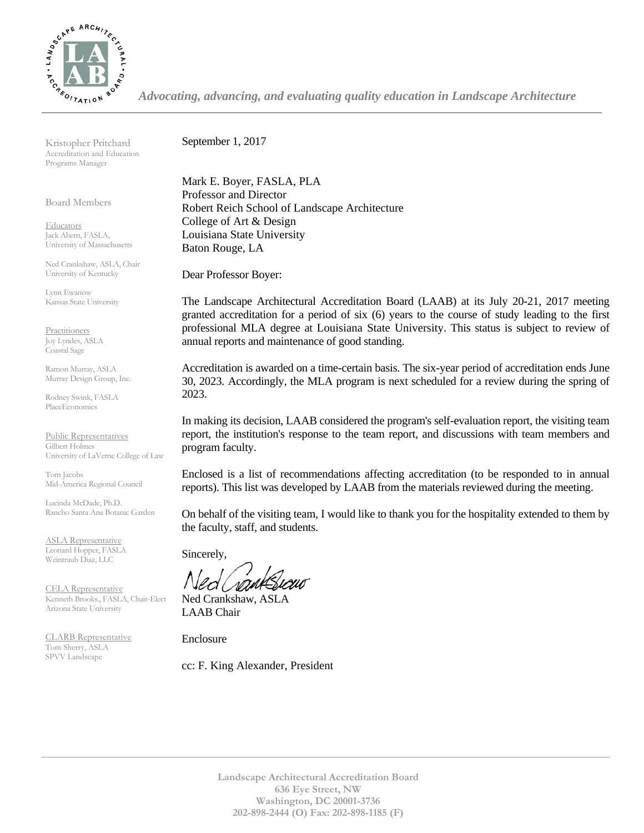

*Advocating, advancing, and evaluating quality education in Landscape Architecture*

Kristopher Pritchard Accreditation and Education Programs Manager

Board Members

**Educators** Jack Ahern, FASLA, University of Massachusetts

Ned Crankshaw, ASLA, Chair University of Kentucky

Lynn Ewanow Kansas State University

**Practitioners** Joy Lyndes, ASLA Coastal Sage

Ramon Murray, ASLA Murray Design Group, Inc.

Rodney Swink, FASLA PlaceEconomics

Public Representatives Gilbert Holmes University of LaVerne College of Law

Tom Jacobs Mid-America Regional Council

Lucinda McDade, Ph.D. Rancho Santa Ana Botanic Garden

ASLA Representative Leonard Hopper, FASLA Weintraub Diaz, LLC

CELA Representative Kenneth Brooks., FASLA, Chair-Elect Arizona State University

CLARB Representative Tom Sherry, ASLA SPVV Landscape

September 1, 2017

Mark E. Boyer, FASLA, PLA Professor and Director Robert Reich School of Landscape Architecture College of Art & Design Louisiana State University Baton Rouge, LA

Dear Professor Boyer:

The Landscape Architectural Accreditation Board (LAAB) at its July 20-21, 2017 meeting granted accreditation for a period of six (6) years to the course of study leading to the first professional MLA degree at Louisiana State University. This status is subject to review of annual reports and maintenance of good standing.

Accreditation is awarded on a time-certain basis. The six-year period of accreditation ends June 30, 2023. Accordingly, the MLA program is next scheduled for a review during the spring of 2023.

In making its decision, LAAB considered the program's self-evaluation report, the visiting team report, the institution's response to the team report, and discussions with team members and program faculty.

Enclosed is a list of recommendations affecting accreditation (to be responded to in annual reports). This list was developed by LAAB from the materials reviewed during the meeting.

On behalf of the visiting team, I would like to thank you for the hospitality extended to them by the faculty, staff, and students.

Sincerely,

Ned Crankshaw, ASLA LAAB Chair

Enclosure

cc: F. King Alexander, President